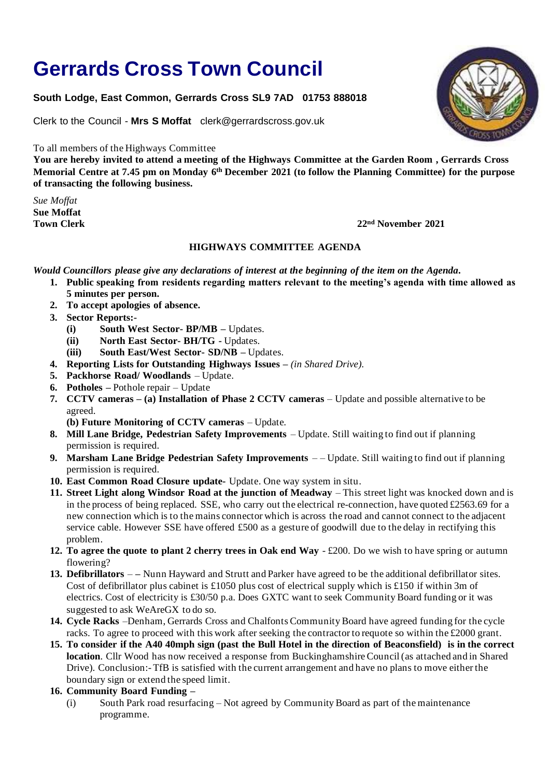## **Gerrards Cross Town Council**

## **South Lodge, East Common, Gerrards Cross SL9 7AD 01753 888018**

Clerk to the Council - **Mrs S Moffat** clerk@gerrardscross.gov.uk

To all members of the Highways Committee

**You are hereby invited to attend a meeting of the Highways Committee at the Garden Room , Gerrards Cross Memorial Centre at 7.45 pm on Monday 6 th December 2021 (to follow the Planning Committee) for the purpose of transacting the following business.**

*Sue Moffat* **Sue Moffat Town Clerk** 2021

## **HIGHWAYS COMMITTEE AGENDA**

*Would Councillors please give any declarations of interest at the beginning of the item on the Agenda***.** 

- **1. Public speaking from residents regarding matters relevant to the meeting's agenda with time allowed as 5 minutes per person.**
	- **2. To accept apologies of absence.**
	- **3. Sector Reports:-**
		- **(i) South West Sector- BP/MB –** Updates.
		- **(ii) North East Sector- BH/TG -** Updates.
		- **(iii) South East/West Sector- SD/NB –** Updates.
	- **4. Reporting Lists for Outstanding Highways Issues –** *(in Shared Drive).*
	- **5. Packhorse Road/ Woodlands** Update.
	- **6. Potholes –** Pothole repair Update
	- **7. CCTV cameras – (a) Installation of Phase 2 CCTV cameras** Update and possible alternative to be agreed.
		- **(b) Future Monitoring of CCTV cameras** *–* Update*.*
	- **8. Mill Lane Bridge, Pedestrian Safety Improvements** Update. Still waiting to find out if planning permission is required.
	- **9. Marsham Lane Bridge Pedestrian Safety Improvements** – Update. Still waiting to find out if planning permission is required.
	- **10. East Common Road Closure update-** Update. One way system in situ.
	- 11. **Street Light along Windsor Road at the junction of Meadway** This street light was knocked down and is in the process of being replaced. SSE, who carry out the electrical re-connection, have quoted £2563.69 for a new connection which is to the mains connector which is across the road and cannot connect to the adjacent service cable. However SSE have offered £500 as a gesture of goodwill due to the delay in rectifying this problem.
	- **12. To agree the quote to plant 2 cherry trees in Oak end Way**  £200. Do we wish to have spring or autumn flowering?
	- **13. Defibrillators –** Nunn Hayward and Strutt and Parker have agreed to be the additional defibrillator sites. Cost of defibrillator plus cabinet is £1050 plus cost of electrical supply which is £150 if within 3m of electrics. Cost of electricity is £30/50 p.a. Does GXTC want to seek Community Board funding or it was suggested to ask WeAreGX to do so.
	- **14. Cycle Racks** –Denham, Gerrards Cross and Chalfonts Community Board have agreed funding for the cycle racks. To agree to proceed with this work after seeking the contractor to requote so within the £2000 grant.
	- **15. To consider if the A40 40mph sign (past the Bull Hotel in the direction of Beaconsfield) is in the correct location**. Cllr Wood has now received a response from Buckinghamshire Council (as attached and in Shared Drive). Conclusion:- TfB is satisfied with the current arrangement and have no plans to move either the boundary sign or extend the speed limit.
	- **16. Community Board Funding –**
		- (i) South Park road resurfacing Not agreed by Community Board as part of the maintenance programme.